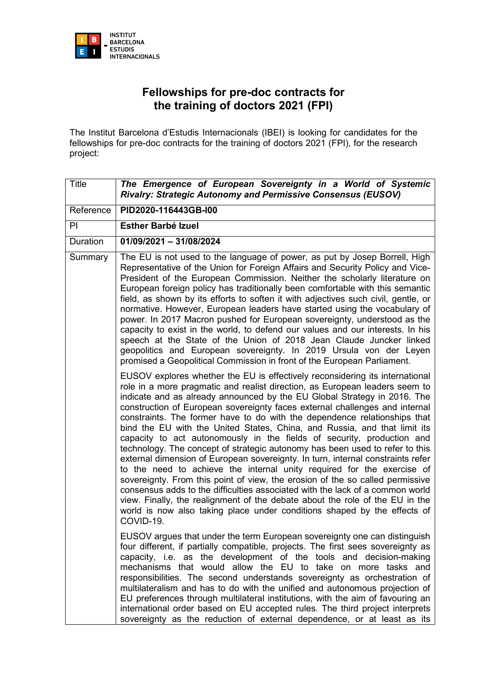

## **Fellowships for pre-doc contracts for the training of doctors 2021 (FPI)**

The Institut Barcelona d'Estudis Internacionals (IBEI) is looking for candidates for the fellowships for pre-doc contracts for the training of doctors 2021 (FPI), for the research project:

| <b>Title</b> | The Emergence of European Sovereignty in a World of Systemic<br>Rivalry: Strategic Autonomy and Permissive Consensus (EUSOV)                                                                                                                                                                                                                                                                                                                                                                                                                                                                                                                                                                                                                                                                                                                                                                                                                                                                                                                                                                                                                       |
|--------------|----------------------------------------------------------------------------------------------------------------------------------------------------------------------------------------------------------------------------------------------------------------------------------------------------------------------------------------------------------------------------------------------------------------------------------------------------------------------------------------------------------------------------------------------------------------------------------------------------------------------------------------------------------------------------------------------------------------------------------------------------------------------------------------------------------------------------------------------------------------------------------------------------------------------------------------------------------------------------------------------------------------------------------------------------------------------------------------------------------------------------------------------------|
| Reference    | PID2020-116443GB-I00                                                                                                                                                                                                                                                                                                                                                                                                                                                                                                                                                                                                                                                                                                                                                                                                                                                                                                                                                                                                                                                                                                                               |
| PI           | <b>Esther Barbé Izuel</b>                                                                                                                                                                                                                                                                                                                                                                                                                                                                                                                                                                                                                                                                                                                                                                                                                                                                                                                                                                                                                                                                                                                          |
| Duration     | 01/09/2021 - 31/08/2024                                                                                                                                                                                                                                                                                                                                                                                                                                                                                                                                                                                                                                                                                                                                                                                                                                                                                                                                                                                                                                                                                                                            |
| Summary      | The EU is not used to the language of power, as put by Josep Borrell, High<br>Representative of the Union for Foreign Affairs and Security Policy and Vice-<br>President of the European Commission. Neither the scholarly literature on<br>European foreign policy has traditionally been comfortable with this semantic<br>field, as shown by its efforts to soften it with adjectives such civil, gentle, or<br>normative. However, European leaders have started using the vocabulary of<br>power. In 2017 Macron pushed for European sovereignty, understood as the<br>capacity to exist in the world, to defend our values and our interests. In his<br>speech at the State of the Union of 2018 Jean Claude Juncker linked<br>geopolitics and European sovereignty. In 2019 Ursula von der Leyen<br>promised a Geopolitical Commission in front of the European Parliament.                                                                                                                                                                                                                                                                 |
|              | EUSOV explores whether the EU is effectively reconsidering its international<br>role in a more pragmatic and realist direction, as European leaders seem to<br>indicate and as already announced by the EU Global Strategy in 2016. The<br>construction of European sovereignty faces external challenges and internal<br>constraints. The former have to do with the dependence relationships that<br>bind the EU with the United States, China, and Russia, and that limit its<br>capacity to act autonomously in the fields of security, production and<br>technology. The concept of strategic autonomy has been used to refer to this<br>external dimension of European sovereignty. In turn, internal constraints refer<br>to the need to achieve the internal unity required for the exercise of<br>sovereignty. From this point of view, the erosion of the so called permissive<br>consensus adds to the difficulties associated with the lack of a common world<br>view. Finally, the realignment of the debate about the role of the EU in the<br>world is now also taking place under conditions shaped by the effects of<br>COVID-19. |
|              | EUSOV argues that under the term European sovereignty one can distinguish<br>four different, if partially compatible, projects. The first sees sovereignty as<br>capacity, i.e. as the development of the tools and decision-making<br>mechanisms that would allow the EU to take on more tasks and<br>responsibilities. The second understands sovereignty as orchestration of<br>multilateralism and has to do with the unified and autonomous projection of<br>EU preferences through multilateral institutions, with the aim of favouring an<br>international order based on EU accepted rules. The third project interprets<br>sovereignty as the reduction of external dependence, or at least as its                                                                                                                                                                                                                                                                                                                                                                                                                                        |